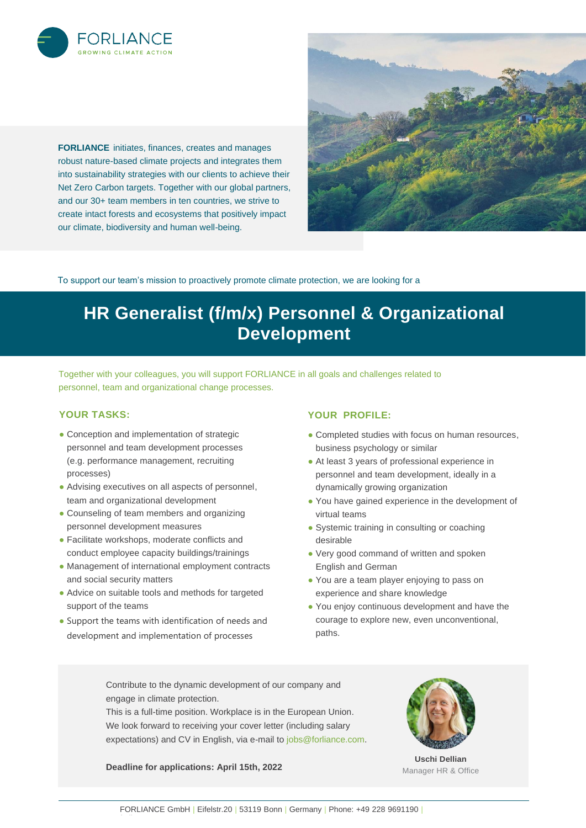

**FORLIANCE** initiates, finances, creates and manages robust nature-based climate projects and integrates them into sustainability strategies with our clients to achieve their Net Zero Carbon targets. Together with our global partners, and our 30+ team members in ten countries, we strive to create intact forests and ecosystems that positively impact our climate, biodiversity and human well-being.



To support our team's mission to proactively promote climate protection, we are looking for a

# **HR Generalist (f/m/x) Personnel & Organizational Development**

Together with your colleagues, you will support FORLIANCE in all goals and challenges related to personnel, team and organizational change processes.

# **YOUR TASKS:**

- Conception and implementation of strategic personnel and team development processes (e.g. performance management, recruiting processes)
- Advising executives on all aspects of personnel, team and organizational development
- Counseling of team members and organizing personnel development measures
- Facilitate workshops, moderate conflicts and conduct employee capacity buildings/trainings
- Management of international employment contracts and social security matters
- Advice on suitable tools and methods for targeted support of the teams
- Support the teams with identification of needs and development and implementation of processes

# **YOUR PROFILE:**

- Completed studies with focus on human resources, business psychology or similar
- At least 3 years of professional experience in personnel and team development, ideally in a dynamically growing organization
- You have gained experience in the development of virtual teams
- Systemic training in consulting or coaching desirable
- Very good command of written and spoken English and German
- You are a team player enjoying to pass on experience and share knowledge
- You enjoy continuous development and have the courage to explore new, even unconventional, paths.

Contribute to the dynamic development of our company and engage in climate protection.

This is a full-time position. Workplace is in the European Union. We look forward to receiving your cover letter (including salary expectations) and CV in English, via e-mail to [jobs@forliance.com.](mailto:jobs@forliance.com)

**Deadline for applications: April 15th, 2022**



**Uschi Dellian** Manager HR & Office